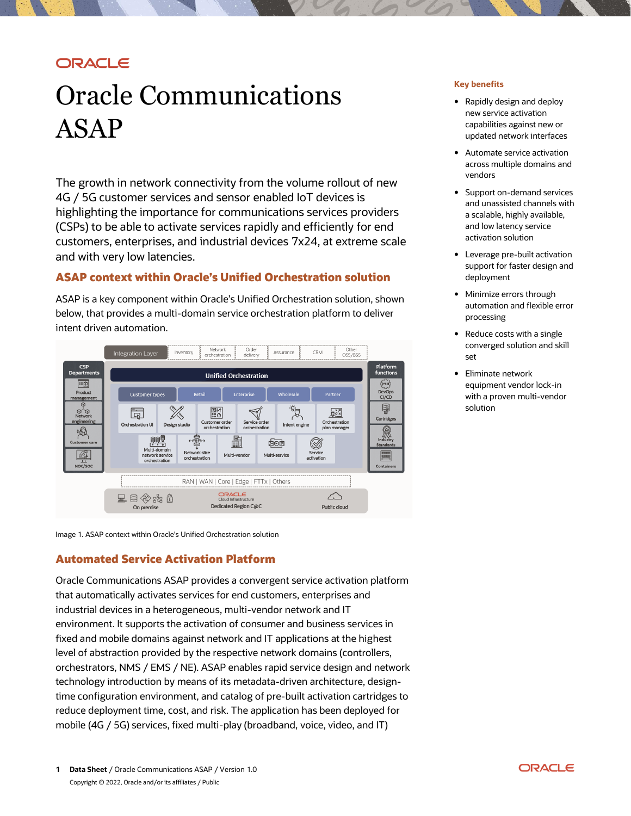# **ORACLE**

# Oracle Communications ASAP

The growth in network connectivity from the volume rollout of new 4G / 5G customer services and sensor enabled IoT devices is highlighting the importance for communications services providers (CSPs) to be able to activate services rapidly and efficiently for end customers, enterprises, and industrial devices 7x24, at extreme scale and with very low latencies.

## **ASAP context within Oracle's Unified Orchestration solution**

ASAP is a key component within Oracle's Unified Orchestration solution, shown below, that provides a multi-domain service orchestration platform to deliver intent driven automation.



Image 1. ASAP context within Oracle's Unified Orchestration solution

## **Automated Service Activation Platform**

Oracle Communications ASAP provides a convergent service activation platform that automatically activates services for end customers, enterprises and industrial devices in a heterogeneous, multi-vendor network and IT environment. It supports the activation of consumer and business services in fixed and mobile domains against network and IT applications at the highest level of abstraction provided by the respective network domains (controllers, orchestrators, NMS / EMS / NE). ASAP enables rapid service design and network technology introduction by means of its metadata-driven architecture, designtime configuration environment, and catalog of pre-built activation cartridges to reduce deployment time, cost, and risk. The application has been deployed for mobile (4G / 5G) services, fixed multi-play (broadband, voice, video, and IT)

#### **Key benefits**

- Rapidly design and deploy new service activation capabilities against new or updated network interfaces
- Automate service activation across multiple domains and vendors
- Support on-demand services and unassisted channels with a scalable, highly available, and low latency service activation solution
- Leverage pre-built activation support for faster design and deployment
- Minimize errors through automation and flexible error processing
- Reduce costs with a single converged solution and skill set
- Eliminate network equipment vendor lock-in with a proven multi-vendor solution

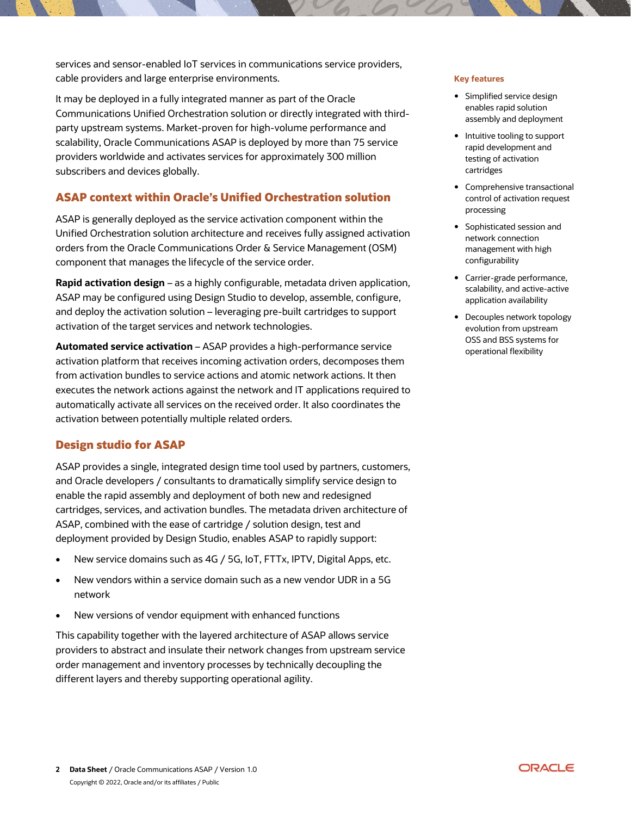services and sensor-enabled IoT services in communications service providers, cable providers and large enterprise environments.

It may be deployed in a fully integrated manner as part of the Oracle Communications Unified Orchestration solution or directly integrated with thirdparty upstream systems. Market-proven for high-volume performance and scalability, Oracle Communications ASAP is deployed by more than 75 service providers worldwide and activates services for approximately 300 million subscribers and devices globally.

# **ASAP context within Oracle's Unified Orchestration solution**

ASAP is generally deployed as the service activation component within the Unified Orchestration solution architecture and receives fully assigned activation orders from the Oracle Communications Order & Service Management (OSM) component that manages the lifecycle of the service order.

**Rapid activation design** – as a highly configurable, metadata driven application, ASAP may be configured using Design Studio to develop, assemble, configure, and deploy the activation solution – leveraging pre-built cartridges to support activation of the target services and network technologies.

**Automated service activation** – ASAP provides a high-performance service activation platform that receives incoming activation orders, decomposes them from activation bundles to service actions and atomic network actions. It then executes the network actions against the network and IT applications required to automatically activate all services on the received order. It also coordinates the activation between potentially multiple related orders.

## **Design studio for ASAP**

ASAP provides a single, integrated design time tool used by partners, customers, and Oracle developers / consultants to dramatically simplify service design to enable the rapid assembly and deployment of both new and redesigned cartridges, services, and activation bundles. The metadata driven architecture of ASAP, combined with the ease of cartridge / solution design, test and deployment provided by Design Studio, enables ASAP to rapidly support:

- New service domains such as 4G / 5G, IoT, FTTx, IPTV, Digital Apps, etc.
- New vendors within a service domain such as a new vendor UDR in a 5G network
- New versions of vendor equipment with enhanced functions

This capability together with the layered architecture of ASAP allows service providers to abstract and insulate their network changes from upstream service order management and inventory processes by technically decoupling the different layers and thereby supporting operational agility.

#### **Key features**

- Simplified service design enables rapid solution assembly and deployment
- Intuitive tooling to support rapid development and testing of activation cartridges
- Comprehensive transactional control of activation request processing
- Sophisticated session and network connection management with high configurability
- Carrier-grade performance, scalability, and active-active application availability
- Decouples network topology evolution from upstream OSS and BSS systems for operational flexibility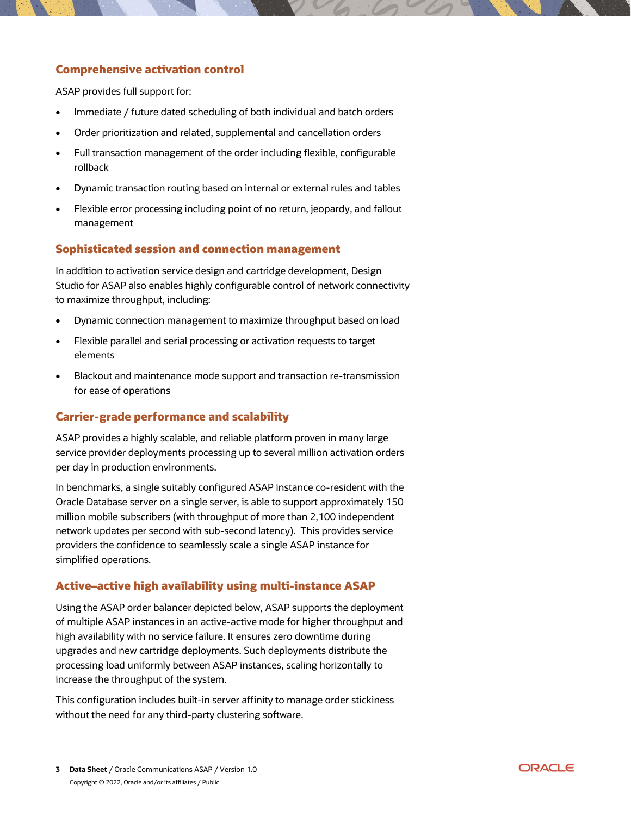# **Comprehensive activation control**

ASAP provides full support for:

- Immediate / future dated scheduling of both individual and batch orders
- Order prioritization and related, supplemental and cancellation orders
- Full transaction management of the order including flexible, configurable rollback
- Dynamic transaction routing based on internal or external rules and tables
- Flexible error processing including point of no return, jeopardy, and fallout management

#### **Sophisticated session and connection management**

In addition to activation service design and cartridge development, Design Studio for ASAP also enables highly configurable control of network connectivity to maximize throughput, including:

- Dynamic connection management to maximize throughput based on load
- Flexible parallel and serial processing or activation requests to target elements
- Blackout and maintenance mode support and transaction re-transmission for ease of operations

#### **Carrier-grade performance and scalability**

ASAP provides a highly scalable, and reliable platform proven in many large service provider deployments processing up to several million activation orders per day in production environments.

In benchmarks, a single suitably configured ASAP instance co-resident with the Oracle Database server on a single server, is able to support approximately 150 million mobile subscribers (with throughput of more than 2,100 independent network updates per second with sub-second latency). This provides service providers the confidence to seamlessly scale a single ASAP instance for simplified operations.

#### **Active–active high availability using multi-instance ASAP**

Using the ASAP order balancer depicted below, ASAP supports the deployment of multiple ASAP instances in an active-active mode for higher throughput and high availability with no service failure. It ensures zero downtime during upgrades and new cartridge deployments. Such deployments distribute the processing load uniformly between ASAP instances, scaling horizontally to increase the throughput of the system.

This configuration includes built-in server affinity to manage order stickiness without the need for any third-party clustering software.

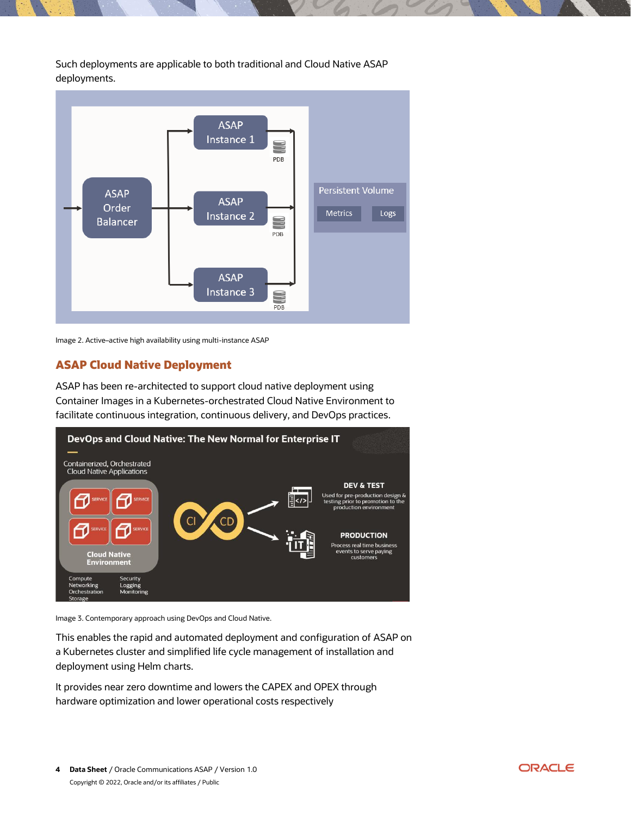Such deployments are applicable to both traditional and Cloud Native ASAP deployments.



Image 2. Active–active high availability using multi-instance ASAP

## **ASAP Cloud Native Deployment**

ASAP has been re-architected to support cloud native deployment using Container Images in a Kubernetes-orchestrated Cloud Native Environment to facilitate continuous integration, continuous delivery, and DevOps practices.



Image 3. Contemporary approach using DevOps and Cloud Native.

This enables the rapid and automated deployment and configuration of ASAP on a Kubernetes cluster and simplified life cycle management of installation and deployment using Helm charts.

It provides near zero downtime and lowers the CAPEX and OPEX through hardware optimization and lower operational costs respectively

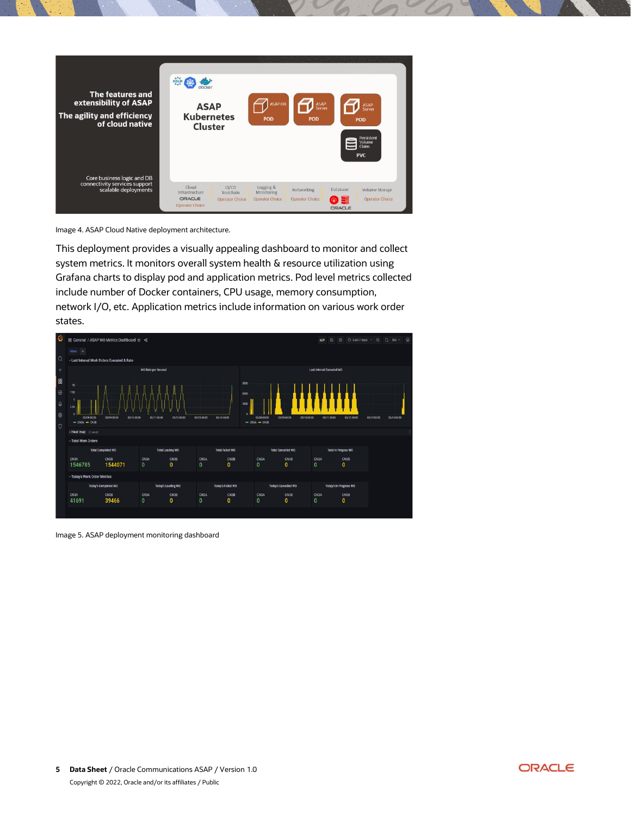

Image 4. ASAP Cloud Native deployment architecture.

This deployment provides a visually appealing dashboard to monitor and collect system metrics. It monitors overall system health & resource utilization using Grafana charts to display pod and application metrics. Pod level metrics collected include number of Docker containers, CPU usage, memory consumption, network I/O, etc. Application metrics include information on various work order states.



Image 5. ASAP deployment monitoring dashboard